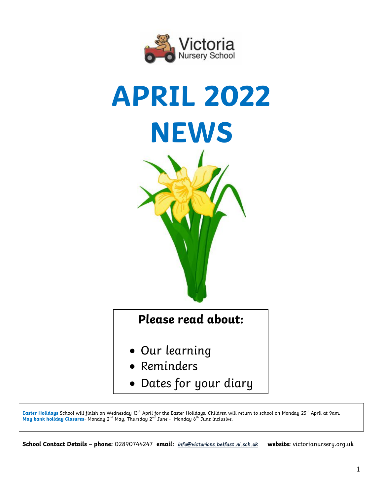



**Easter Holidays** School will finish on Wednesday 13th April for the Easter Holidays. Children will return to school on Monday 25th April at 9am. **May bank holiday Closures-** Monday 2<sup>nd</sup> May, Thursday 2<sup>nd</sup> June - Monday 6<sup>th</sup> June inclusive.

**School Contact Details** – **phone:** 02890744247 **email:** *[info@victorians.belfast.ni.sch.uk](mailto:info@victorians.belfast.ni.sch.uk)* **website:** victorianursery.org.uk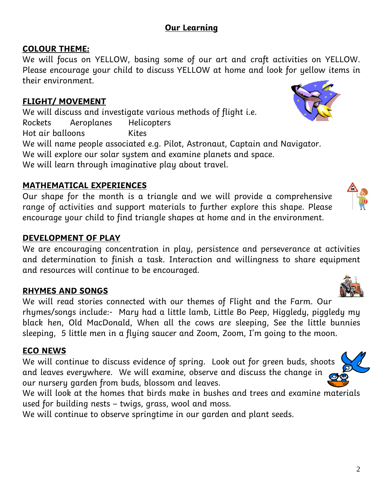# **Our Learning**

## **COLOUR THEME:**

We will focus on YELLOW, basing some of our art and craft activities on YELLOW. Please encourage your child to discuss YELLOW at home and look for yellow items in their environment.

### **FLIGHT/ MOVEMENT**

We will discuss and investigate various methods of flight i.e. Rockets Aeroplanes Helicopters Hot air balloons Kites We will name people associated e.g. Pilot, Astronaut, Captain and Navigator. We will explore our solar system and examine planets and space. We will learn through imaginative play about travel.

## **MATHEMATICAL EXPERIENCES**

Our shape for the month is a triangle and we will provide a comprehensive range of activities and support materials to further explore this shape. Please encourage your child to find triangle shapes at home and in the environment.

### **DEVELOPMENT OF PLAY**

We are encouraging concentration in play, persistence and perseverance at activities and determination to finish a task. Interaction and willingness to share equipment and resources will continue to be encouraged.

## **RHYMES AND SONGS**

We will read stories connected with our themes of Flight and the Farm. Our rhymes/songs include:- Mary had a little lamb, Little Bo Peep, Higgledy, piggledy my black hen, Old MacDonald, When all the cows are sleeping, See the little bunnies sleeping, 5 little men in a flying saucer and Zoom, Zoom, I'm going to the moon.

## **ECO NEWS**

We will continue to discuss evidence of spring. Look out for green buds, shoots and leaves everywhere. We will examine, observe and discuss the change in our nursery garden from buds, blossom and leaves.

We will look at the homes that birds make in bushes and trees and examine materials used for building nests – twigs, grass, wool and moss.

We will continue to observe springtime in our garden and plant seeds.







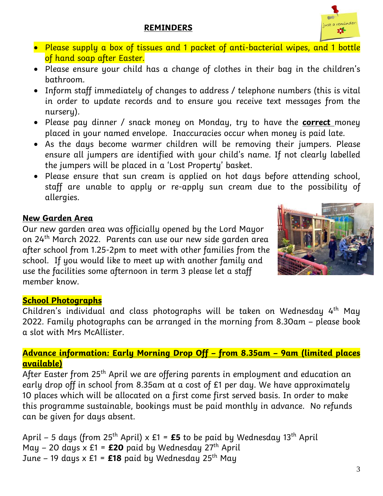## **REMINDERS**



- Please supply a box of tissues and 1 packet of anti-bacterial wipes, and 1 bottle of hand soap after Easter.
- Please ensure your child has a change of clothes in their bag in the children's bathroom.
- Inform staff immediately of changes to address / telephone numbers (this is vital in order to update records and to ensure you receive text messages from the nurseru).
- Please pay dinner / snack money on Monday, try to have the **correct** money placed in your named envelope. Inaccuracies occur when money is paid late.
- As the days become warmer children will be removing their jumpers. Please ensure all jumpers are identified with your child's name. If not clearly labelled the jumpers will be placed in a 'Lost Property' basket.
- Please ensure that sun cream is applied on hot days before attending school, staff are unable to apply or re-apply sun cream due to the possibility of allergies.

### **New Garden Area**

Our new garden area was officially opened by the Lord Mayor on 24th March 2022. Parents can use our new side garden area after school from 1.25-2pm to meet with other families from the school. If you would like to meet up with another family and use the facilities some afternoon in term 3 please let a staff member know.



## **School Photographs**

Children's individual and class photographs will be taken on Wednesday  $4<sup>th</sup>$  May 2022. Family photographs can be arranged in the morning from 8.30am – please book a slot with Mrs McAllister.

### **Advance information: Early Morning Drop Off – from 8.35am – 9am (limited places available)**

After Easter from 25<sup>th</sup> April we are offering parents in employment and education an early drop off in school from 8.35am at a cost of £1 per day. We have approximately 10 places which will be allocated on a first come first served basis. In order to make this programme sustainable, bookings must be paid monthly in advance. No refunds can be given for days absent.

April – 5 days (from 25<sup>th</sup> April) x  $E1 = E5$  to be paid by Wednesday 13<sup>th</sup> April May – 20 days  $x \n\t\pounds1 = \pounds20$  paid by Wednesday  $27<sup>th</sup>$  April June – 19 days x £1 =  $£18$  paid by Wednesday 25<sup>th</sup> May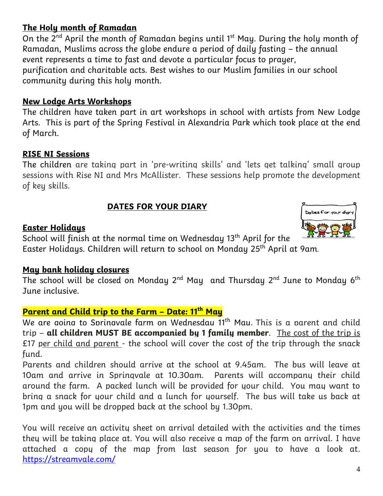## **The Holy month of Ramadan**

On the 2<sup>nd</sup> April the month of Ramadan begins until 1<sup>st</sup> May. During the holy month of Ramadan, Muslims across the globe endure a period of daily fasting – the annual event represents a time to fast and devote a particular focus to prayer, purification and charitable acts. Best wishes to our Muslim families in our school community during this holy month.

#### **New Lodge Arts Workshops**

The children have taken part in art workshops in school with artists from New Lodge Arts. This is part of the Spring Festival in Alexandria Park which took place at the end of March.

#### **RISE NI Sessions**

The children are taking part in 'pre-writing skills' and 'lets get talking' small group sessions with Rise NI and Mrs McAllister. These sessions help promote the development of key skills.

#### **DATES FOR YOUR DIARY**

#### **Easter Holidays**



School will finish at the normal time on Wednesday 13<sup>th</sup> April for the Easter Holidays. Children will return to school on Monday 25th April at 9am.

#### **May bank holiday closures**

The school will be closed on Monday 2<sup>nd</sup> May and Thursday 2<sup>nd</sup> June to Monday 6<sup>th</sup> June inclusive.

### **Parent and Child trip to the Farm – Date: 11 th May**

We are aoina to Sprinavale farm on Wednesdau 11<sup>th</sup> Mau. This is a parent and child trip – **all children MUST BE accompanied by 1 family member**. The cost of the trip is  $£17$  per child and parent - the school will cover the cost of the trip through the snack fund.

Parents and children should arrive at the school at 9.45am. The bus will leave at 10am and arrive in Springvale at 10.30am. Parents will accompany their child around the farm. A packed lunch will be provided for your child. You may want to bring a snack for your child and a lunch for yourself. The bus will take us back at 1pm and you will be dropped back at the school by 1.30pm.

You will receive an activity sheet on arrival detailed with the activities and the times they will be taking place at. You will also receive a map of the farm on arrival. I have attached a copy of the map from last season for you to have a look at. <https://streamvale.com/>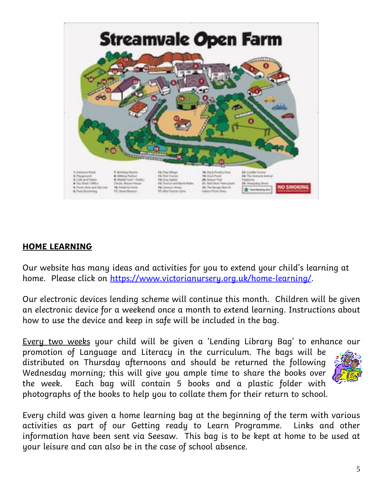

### **HOME LEARNING**

Our website has many ideas and activities for you to extend your child's learning at home. Please click on [https://www.victorianursery.org.uk/home-learning/.](https://www.victorianursery.org.uk/home-learning/)

Our electronic devices lending scheme will continue this month. Children will be given an electronic device for a weekend once a month to extend learning. Instructions about how to use the device and keep in safe will be included in the bag.

Every two weeks your child will be given a 'Lending Library Bag' to enhance our

promotion of Language and Literacy in the curriculum. The bags will be distributed on Thursday afternoons and should be returned the following Wednesday morning; this will give you ample time to share the books over the week. Each bag will contain 5 books and a plastic folder with photographs of the books to help you to collate them for their return to school.



Every child was given a home learning bag at the beginning of the term with various activities as part of our Getting ready to Learn Programme. Links and other information have been sent via Seesaw. This bag is to be kept at home to be used at your leisure and can also be in the case of school absence.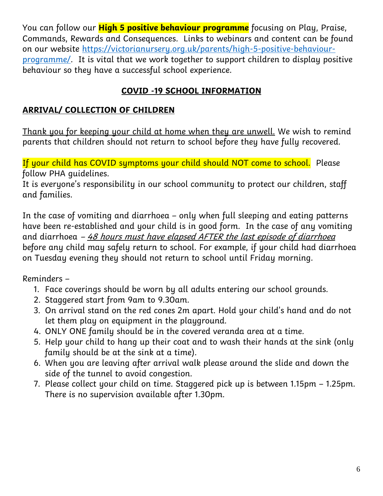You can follow our **High 5 positive behaviour programme** focusing on Play, Praise, Commands, Rewards and Consequences. Links to webinars and content can be found on our website [https://victorianursery.org.uk/parents/high-5-positive-behaviour](https://victorianursery.org.uk/parents/high-5-positive-behaviour-programme/)[programme/.](https://victorianursery.org.uk/parents/high-5-positive-behaviour-programme/) It is vital that we work together to support children to display positive behaviour so they have a successful school experience.

# **COVID -19 SCHOOL INFORMATION**

## **ARRIVAL/ COLLECTION OF CHILDREN**

Thank you for keeping your child at home when they are unwell. We wish to remind parents that children should not return to school before they have fully recovered.

If your child has COVID symptoms your child should NOT come to school. Please follow PHA guidelines.

It is everyone's responsibility in our school community to protect our children, staff and families.

In the case of vomiting and diarrhoea – only when full sleeping and eating patterns have been re-established and your child is in good form. In the case of any vomiting and diarrhoea  $-48$  hours must have elapsed AFTER the last episode of diarrhoea before any child may safely return to school. For example, if your child had diarrhoea on Tuesday evening they should not return to school until Friday morning.

Reminders –

- 1. Face coverings should be worn by all adults entering our school grounds.
- 2. Staggered start from 9am to 9.30am.
- 3. On arrival stand on the red cones 2m apart. Hold your child's hand and do not let them play on equipment in the playground.
- 4. ONLY ONE family should be in the covered veranda area at a time.
- 5. Help your child to hang up their coat and to wash their hands at the sink (only family should be at the sink at a time).
- 6. When you are leaving after arrival walk please around the slide and down the side of the tunnel to avoid congestion.
- 7. Please collect your child on time. Staggered pick up is between 1.15pm 1.25pm. There is no supervision available after 1.30pm.